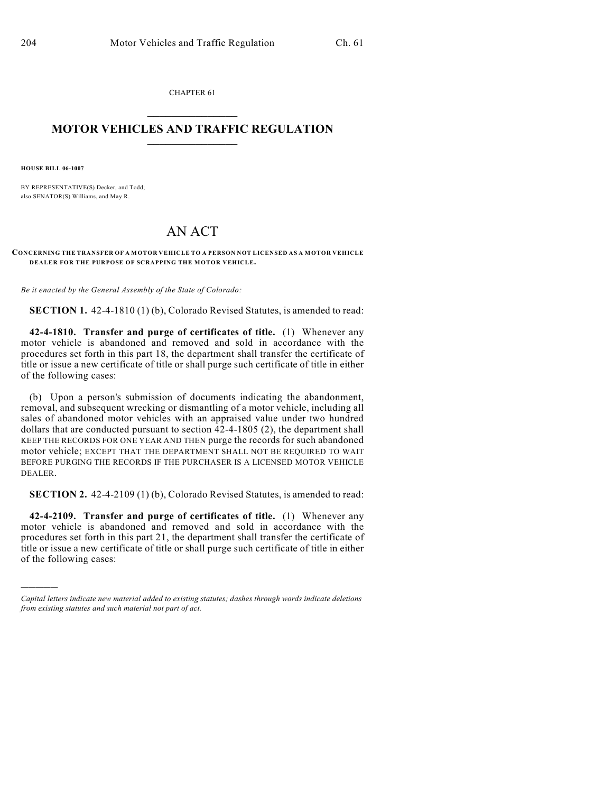CHAPTER 61  $\mathcal{L}_\text{max}$  . The set of the set of the set of the set of the set of the set of the set of the set of the set of the set of the set of the set of the set of the set of the set of the set of the set of the set of the set

## **MOTOR VEHICLES AND TRAFFIC REGULATION**  $\frac{1}{2}$  ,  $\frac{1}{2}$  ,  $\frac{1}{2}$  ,  $\frac{1}{2}$  ,  $\frac{1}{2}$  ,  $\frac{1}{2}$  ,  $\frac{1}{2}$

**HOUSE BILL 06-1007**

)))))

BY REPRESENTATIVE(S) Decker, and Todd; also SENATOR(S) Williams, and May R.

## AN ACT

**CONCERNING THE TRANSFER OF A MOTOR VEHICLE TO A PERSON NOT LICENSED AS A MOTOR VEHICLE DEALER FOR THE PURPOSE OF SCRAPPING THE MOTOR VEHICLE.**

*Be it enacted by the General Assembly of the State of Colorado:*

**SECTION 1.** 42-4-1810 (1) (b), Colorado Revised Statutes, is amended to read:

**42-4-1810. Transfer and purge of certificates of title.** (1) Whenever any motor vehicle is abandoned and removed and sold in accordance with the procedures set forth in this part 18, the department shall transfer the certificate of title or issue a new certificate of title or shall purge such certificate of title in either of the following cases:

(b) Upon a person's submission of documents indicating the abandonment, removal, and subsequent wrecking or dismantling of a motor vehicle, including all sales of abandoned motor vehicles with an appraised value under two hundred dollars that are conducted pursuant to section  $42-4-1805$  (2), the department shall KEEP THE RECORDS FOR ONE YEAR AND THEN purge the records for such abandoned motor vehicle; EXCEPT THAT THE DEPARTMENT SHALL NOT BE REQUIRED TO WAIT BEFORE PURGING THE RECORDS IF THE PURCHASER IS A LICENSED MOTOR VEHICLE DEALER.

**SECTION 2.** 42-4-2109 (1) (b), Colorado Revised Statutes, is amended to read:

**42-4-2109. Transfer and purge of certificates of title.** (1) Whenever any motor vehicle is abandoned and removed and sold in accordance with the procedures set forth in this part 21, the department shall transfer the certificate of title or issue a new certificate of title or shall purge such certificate of title in either of the following cases:

*Capital letters indicate new material added to existing statutes; dashes through words indicate deletions from existing statutes and such material not part of act.*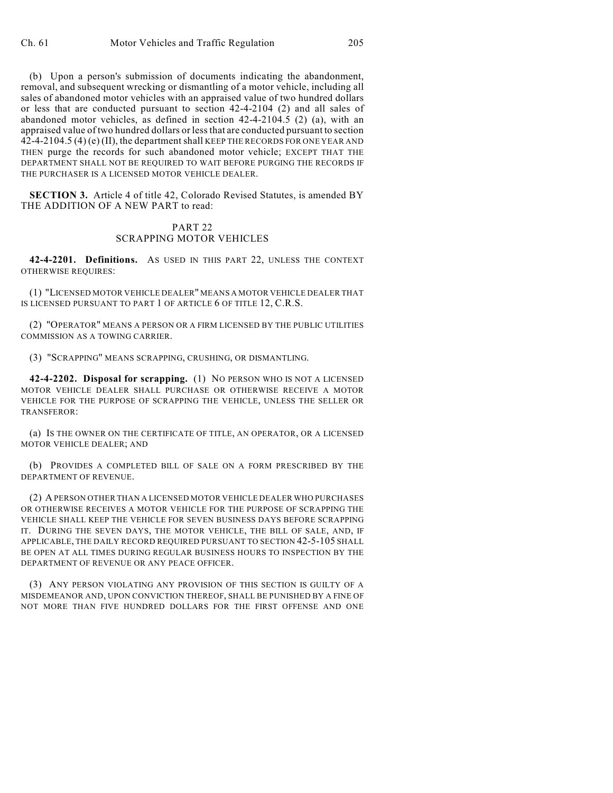(b) Upon a person's submission of documents indicating the abandonment, removal, and subsequent wrecking or dismantling of a motor vehicle, including all sales of abandoned motor vehicles with an appraised value of two hundred dollars or less that are conducted pursuant to section 42-4-2104 (2) and all sales of abandoned motor vehicles, as defined in section 42-4-2104.5 (2) (a), with an appraised value of two hundred dollars or less that are conducted pursuant to section 42-4-2104.5 (4) (e) (II), the department shall KEEP THE RECORDS FOR ONE YEAR AND THEN purge the records for such abandoned motor vehicle; EXCEPT THAT THE DEPARTMENT SHALL NOT BE REQUIRED TO WAIT BEFORE PURGING THE RECORDS IF THE PURCHASER IS A LICENSED MOTOR VEHICLE DEALER.

**SECTION 3.** Article 4 of title 42, Colorado Revised Statutes, is amended BY THE ADDITION OF A NEW PART to read:

## PART 22 SCRAPPING MOTOR VEHICLES

**42-4-2201. Definitions.** AS USED IN THIS PART 22, UNLESS THE CONTEXT OTHERWISE REQUIRES:

(1) "LICENSED MOTOR VEHICLE DEALER" MEANS A MOTOR VEHICLE DEALER THAT IS LICENSED PURSUANT TO PART 1 OF ARTICLE 6 OF TITLE 12, C.R.S.

(2) "OPERATOR" MEANS A PERSON OR A FIRM LICENSED BY THE PUBLIC UTILITIES COMMISSION AS A TOWING CARRIER.

(3) "SCRAPPING" MEANS SCRAPPING, CRUSHING, OR DISMANTLING.

**42-4-2202. Disposal for scrapping.** (1) NO PERSON WHO IS NOT A LICENSED MOTOR VEHICLE DEALER SHALL PURCHASE OR OTHERWISE RECEIVE A MOTOR VEHICLE FOR THE PURPOSE OF SCRAPPING THE VEHICLE, UNLESS THE SELLER OR TRANSFEROR:

(a) IS THE OWNER ON THE CERTIFICATE OF TITLE, AN OPERATOR, OR A LICENSED MOTOR VEHICLE DEALER; AND

(b) PROVIDES A COMPLETED BILL OF SALE ON A FORM PRESCRIBED BY THE DEPARTMENT OF REVENUE.

(2) A PERSON OTHER THAN A LICENSED MOTOR VEHICLE DEALER WHO PURCHASES OR OTHERWISE RECEIVES A MOTOR VEHICLE FOR THE PURPOSE OF SCRAPPING THE VEHICLE SHALL KEEP THE VEHICLE FOR SEVEN BUSINESS DAYS BEFORE SCRAPPING IT. DURING THE SEVEN DAYS, THE MOTOR VEHICLE, THE BILL OF SALE, AND, IF APPLICABLE, THE DAILY RECORD REQUIRED PURSUANT TO SECTION 42-5-105 SHALL BE OPEN AT ALL TIMES DURING REGULAR BUSINESS HOURS TO INSPECTION BY THE DEPARTMENT OF REVENUE OR ANY PEACE OFFICER.

(3) ANY PERSON VIOLATING ANY PROVISION OF THIS SECTION IS GUILTY OF A MISDEMEANOR AND, UPON CONVICTION THEREOF, SHALL BE PUNISHED BY A FINE OF NOT MORE THAN FIVE HUNDRED DOLLARS FOR THE FIRST OFFENSE AND ONE